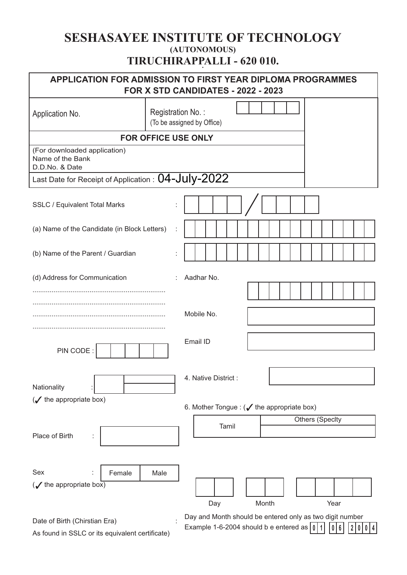## **SESHASAYEE INSTITUTE OF TECHNOLOGY (AUTONOMOUS) TIRUCHIRAPPALLI - 620 010. .**

| APPLICATION FOR ADMISSION TO FIRST YEAR DIPLOMA PROGRAMMES<br>FOR X STD CANDIDATES - 2022 - 2023 |                   |                            |                                                    |                                                          |  |  |
|--------------------------------------------------------------------------------------------------|-------------------|----------------------------|----------------------------------------------------|----------------------------------------------------------|--|--|
| Application No.                                                                                  | Registration No.: | (To be assigned by Office) |                                                    |                                                          |  |  |
| <b>FOR OFFICE USE ONLY</b>                                                                       |                   |                            |                                                    |                                                          |  |  |
| (For downloaded application)<br>Name of the Bank<br>D.D.No. & Date                               |                   |                            |                                                    |                                                          |  |  |
| Last Date for Receipt of Application : 04-July-2022                                              |                   |                            |                                                    |                                                          |  |  |
| <b>SSLC / Equivalent Total Marks</b>                                                             | t                 |                            |                                                    |                                                          |  |  |
| (a) Name of the Candidate (in Block Letters)                                                     |                   |                            |                                                    |                                                          |  |  |
| (b) Name of the Parent / Guardian                                                                |                   |                            |                                                    |                                                          |  |  |
| (d) Address for Communication                                                                    |                   | Aadhar No.                 |                                                    |                                                          |  |  |
|                                                                                                  |                   | Mobile No.                 |                                                    |                                                          |  |  |
| PIN CODE:                                                                                        |                   | Email ID                   |                                                    |                                                          |  |  |
| Nationality                                                                                      |                   | 4. Native District :       |                                                    |                                                          |  |  |
| $(\checkmark)$ the appropriate box)                                                              |                   |                            | 6. Mother Tongue: ( $\sqrt{}$ the appropriate box) |                                                          |  |  |
|                                                                                                  |                   | Tamil                      |                                                    | <b>Others (Specity</b>                                   |  |  |
| Place of Birth                                                                                   |                   |                            |                                                    |                                                          |  |  |
| Sex<br>Female<br>$(\mathcal{J}$ the appropriate box)                                             | Male              | Day                        | Month                                              | Year                                                     |  |  |
| Date of Birth (Chirstian Era)                                                                    |                   |                            |                                                    | Day and Month should be entered only as two digit number |  |  |
| As found in SSLC or its equivalent certificate)                                                  |                   |                            | Example 1-6-2004 should b e entered as $  \theta$  | 6<br>0 4                                                 |  |  |